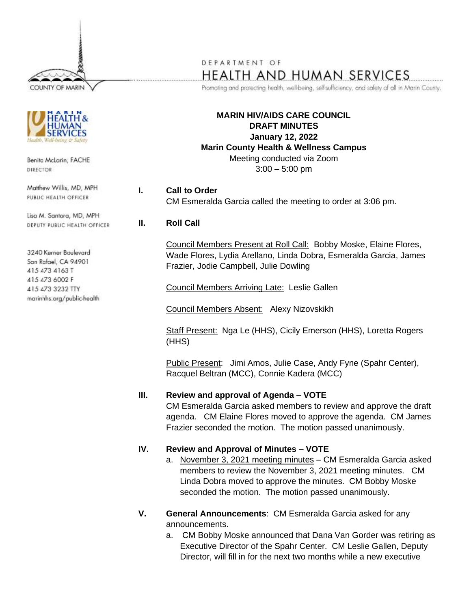COUNTY OF MARIN



Benita McLarin, FACHE DIRECTOR

Matthew Willis, MD, MPH PUBLIC HEALTH OFFICER

Lisa M. Santora, MD, MPH DEPUTY PUBLIC HEALTH OFFICER

3240 Kerner Boulevard San Rafael, CA 94901 415 473 4163 T 415 473 6002 F 415 473 3232 TTY marinhhs.org/public-health

# DEPARTMENT OF HEALTH AND HUMAN SERVICES

Promoting and protecting health, well-being, self-sufficiency, and safety of all in Marin County.

**MARIN HIV/AIDS CARE COUNCIL DRAFT MINUTES January 12, 2022 Marin County Health & Wellness Campus** Meeting conducted via Zoom  $3:00 - 5:00$  pm

**I. Call to Order** CM Esmeralda Garcia called the meeting to order at 3:06 pm.

## **II. Roll Call**

Council Members Present at Roll Call: Bobby Moske, Elaine Flores, Wade Flores, Lydia Arellano, Linda Dobra, Esmeralda Garcia, James Frazier, Jodie Campbell, Julie Dowling

Council Members Arriving Late: Leslie Gallen

Council Members Absent: Alexy Nizovskikh

Staff Present: Nga Le (HHS), Cicily Emerson (HHS), Loretta Rogers (HHS)

Public Present: Jimi Amos, Julie Case, Andy Fyne (Spahr Center), Racquel Beltran (MCC), Connie Kadera (MCC)

## **III. Review and approval of Agenda – VOTE**

CM Esmeralda Garcia asked members to review and approve the draft agenda. CM Elaine Flores moved to approve the agenda. CM James Frazier seconded the motion. The motion passed unanimously.

#### **IV. Review and Approval of Minutes – VOTE**

- a. November 3, 2021 meeting minutes CM Esmeralda Garcia asked members to review the November 3, 2021 meeting minutes. CM Linda Dobra moved to approve the minutes. CM Bobby Moske seconded the motion. The motion passed unanimously.
- **V. General Announcements**: CM Esmeralda Garcia asked for any announcements.
	- a. CM Bobby Moske announced that Dana Van Gorder was retiring as Executive Director of the Spahr Center. CM Leslie Gallen, Deputy Director, will fill in for the next two months while a new executive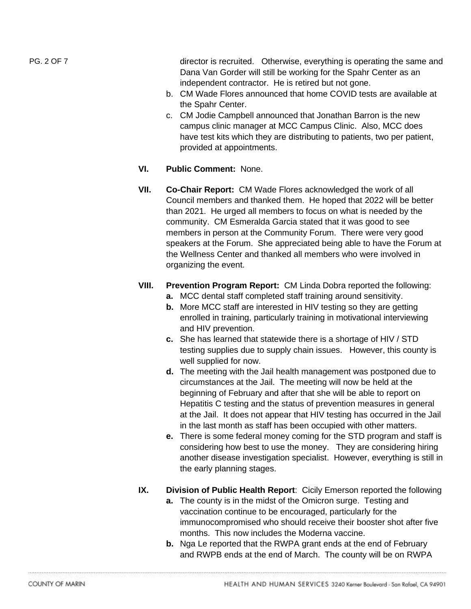PG. 2 OF 7 director is recruited. Otherwise, everything is operating the same and Dana Van Gorder will still be working for the Spahr Center as an independent contractor. He is retired but not gone.

- b. CM Wade Flores announced that home COVID tests are available at the Spahr Center.
- c. CM Jodie Campbell announced that Jonathan Barron is the new campus clinic manager at MCC Campus Clinic. Also, MCC does have test kits which they are distributing to patients, two per patient, provided at appointments.
- **VI. Public Comment:** None.
- **VII. Co-Chair Report:** CM Wade Flores acknowledged the work of all Council members and thanked them. He hoped that 2022 will be better than 2021. He urged all members to focus on what is needed by the community. CM Esmeralda Garcia stated that it was good to see members in person at the Community Forum. There were very good speakers at the Forum. She appreciated being able to have the Forum at the Wellness Center and thanked all members who were involved in organizing the event.
- **VIII. Prevention Program Report:** CM Linda Dobra reported the following:
	- **a.** MCC dental staff completed staff training around sensitivity.
	- **b.** More MCC staff are interested in HIV testing so they are getting enrolled in training, particularly training in motivational interviewing and HIV prevention.
	- **c.** She has learned that statewide there is a shortage of HIV / STD testing supplies due to supply chain issues. However, this county is well supplied for now.
	- **d.** The meeting with the Jail health management was postponed due to circumstances at the Jail. The meeting will now be held at the beginning of February and after that she will be able to report on Hepatitis C testing and the status of prevention measures in general at the Jail. It does not appear that HIV testing has occurred in the Jail in the last month as staff has been occupied with other matters.
	- **e.** There is some federal money coming for the STD program and staff is considering how best to use the money. They are considering hiring another disease investigation specialist. However, everything is still in the early planning stages.
- **IX. Division of Public Health Report**: Cicily Emerson reported the following
	- **a.** The county is in the midst of the Omicron surge. Testing and vaccination continue to be encouraged, particularly for the immunocompromised who should receive their booster shot after five months. This now includes the Moderna vaccine.
	- **b.** Nga Le reported that the RWPA grant ends at the end of February and RWPB ends at the end of March. The county will be on RWPA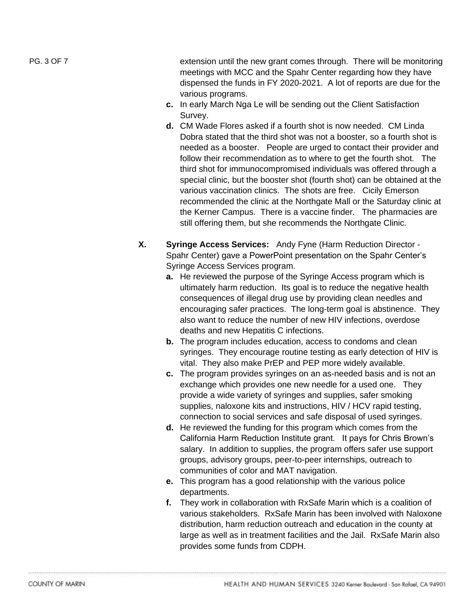PG. 3 OF 7 EXTERCTA REPORT THE RESIDENT UP OF THE SAME COMES TO REFORE THE NEW SET OF THE MEDIA BE MONITORED T meetings with MCC and the Spahr Center regarding how they have dispensed the funds in FY 2020-2021. A lot of reports are due for the various programs.

- **c.** In early March Nga Le will be sending out the Client Satisfaction Survey.
- **d.** CM Wade Flores asked if a fourth shot is now needed. CM Linda Dobra stated that the third shot was not a booster, so a fourth shot is needed as a booster. People are urged to contact their provider and follow their recommendation as to where to get the fourth shot. The third shot for immunocompromised individuals was offered through a special clinic, but the booster shot (fourth shot) can be obtained at the various vaccination clinics. The shots are free. Cicily Emerson recommended the clinic at the Northgate Mall or the Saturday clinic at the Kerner Campus. There is a vaccine finder. The pharmacies are still offering them, but she recommends the Northgate Clinic.
- **X. Syringe Access Services:** Andy Fyne (Harm Reduction Director Spahr Center) gave a PowerPoint presentation on the Spahr Center's Syringe Access Services program.
	- **a.** He reviewed the purpose of the Syringe Access program which is ultimately harm reduction. Its goal is to reduce the negative health consequences of illegal drug use by providing clean needles and encouraging safer practices. The long-term goal is abstinence. They also want to reduce the number of new HIV infections, overdose deaths and new Hepatitis C infections.
	- **b.** The program includes education, access to condoms and clean syringes. They encourage routine testing as early detection of HIV is vital. They also make PrEP and PEP more widely available.
	- **c.** The program provides syringes on an as-needed basis and is not an exchange which provides one new needle for a used one. They provide a wide variety of syringes and supplies, safer smoking supplies, naloxone kits and instructions, HIV / HCV rapid testing, connection to social services and safe disposal of used syringes.
	- **d.** He reviewed the funding for this program which comes from the California Harm Reduction Institute grant. It pays for Chris Brown's salary. In addition to supplies, the program offers safer use support groups, advisory groups, peer-to-peer internships, outreach to communities of color and MAT navigation.
	- **e.** This program has a good relationship with the various police departments.
	- **f.** They work in collaboration with RxSafe Marin which is a coalition of various stakeholders. RxSafe Marin has been involved with Naloxone distribution, harm reduction outreach and education in the county at large as well as in treatment facilities and the Jail. RxSafe Marin also provides some funds from CDPH.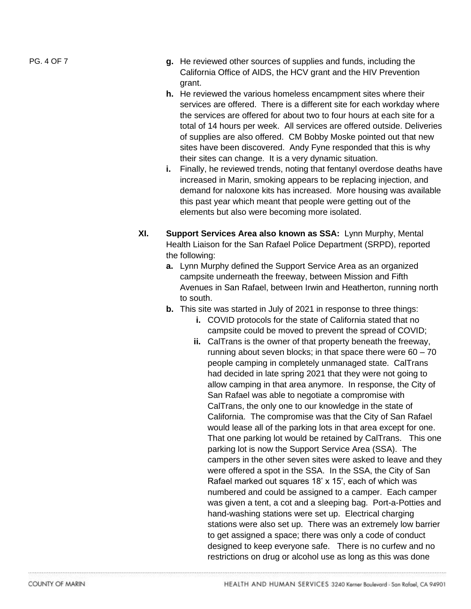- PG. 4 OF 7 **g.** He reviewed other sources of supplies and funds, including the California Office of AIDS, the HCV grant and the HIV Prevention grant.
	- **h.** He reviewed the various homeless encampment sites where their services are offered. There is a different site for each workday where the services are offered for about two to four hours at each site for a total of 14 hours per week. All services are offered outside. Deliveries of supplies are also offered. CM Bobby Moske pointed out that new sites have been discovered. Andy Fyne responded that this is why their sites can change. It is a very dynamic situation.
	- **i.** Finally, he reviewed trends, noting that fentanyl overdose deaths have increased in Marin, smoking appears to be replacing injection, and demand for naloxone kits has increased. More housing was available this past year which meant that people were getting out of the elements but also were becoming more isolated.
	- **XI. Support Services Area also known as SSA:** Lynn Murphy, Mental Health Liaison for the San Rafael Police Department (SRPD), reported the following:
		- **a.** Lynn Murphy defined the Support Service Area as an organized campsite underneath the freeway, between Mission and Fifth Avenues in San Rafael, between Irwin and Heatherton, running north to south.
		- **b.** This site was started in July of 2021 in response to three things:
			- **i.** COVID protocols for the state of California stated that no campsite could be moved to prevent the spread of COVID;
			- **ii.** CalTrans is the owner of that property beneath the freeway, running about seven blocks; in that space there were  $60 - 70$ people camping in completely unmanaged state. CalTrans had decided in late spring 2021 that they were not going to allow camping in that area anymore. In response, the City of San Rafael was able to negotiate a compromise with CalTrans, the only one to our knowledge in the state of California. The compromise was that the City of San Rafael would lease all of the parking lots in that area except for one. That one parking lot would be retained by CalTrans. This one parking lot is now the Support Service Area (SSA). The campers in the other seven sites were asked to leave and they were offered a spot in the SSA. In the SSA, the City of San Rafael marked out squares 18' x 15', each of which was numbered and could be assigned to a camper. Each camper was given a tent, a cot and a sleeping bag. Port-a-Potties and hand-washing stations were set up. Electrical charging stations were also set up. There was an extremely low barrier to get assigned a space; there was only a code of conduct designed to keep everyone safe. There is no curfew and no restrictions on drug or alcohol use as long as this was done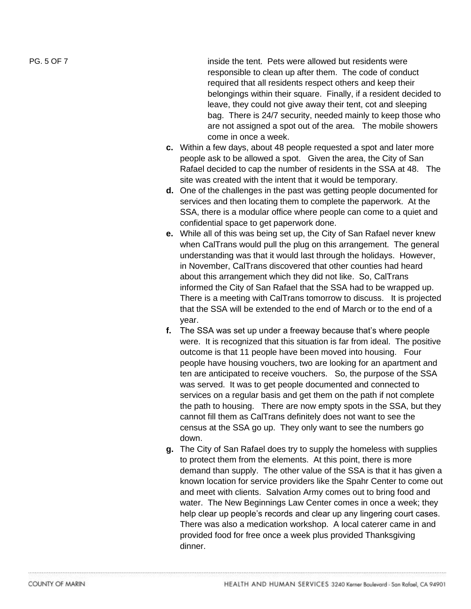PG. 5 OF

inside the tent. Pets were allowed but residents were responsible to clean up after them. The code of conduct required that all residents respect others and keep their belongings within their square. Finally, if a resident decided to leave, they could not give away their tent, cot and sleeping bag. There is 24/7 security, needed mainly to keep those who are not assigned a spot out of the area. The mobile showers come in once a week.

- **c.** Within a few days, about 48 people requested a spot and later more people ask to be allowed a spot. Given the area, the City of San Rafael decided to cap the number of residents in the SSA at 48. The site was created with the intent that it would be temporary.
- **d.** One of the challenges in the past was getting people documented for services and then locating them to complete the paperwork. At the SSA, there is a modular office where people can come to a quiet and confidential space to get paperwork done.
- **e.** While all of this was being set up, the City of San Rafael never knew when CalTrans would pull the plug on this arrangement. The general understanding was that it would last through the holidays. However, in November, CalTrans discovered that other counties had heard about this arrangement which they did not like. So, CalTrans informed the City of San Rafael that the SSA had to be wrapped up. There is a meeting with CalTrans tomorrow to discuss. It is projected that the SSA will be extended to the end of March or to the end of a year.
- **f.** The SSA was set up under a freeway because that's where people were. It is recognized that this situation is far from ideal. The positive outcome is that 11 people have been moved into housing. Four people have housing vouchers, two are looking for an apartment and ten are anticipated to receive vouchers. So, the purpose of the SSA was served. It was to get people documented and connected to services on a regular basis and get them on the path if not complete the path to housing. There are now empty spots in the SSA, but they cannot fill them as CalTrans definitely does not want to see the census at the SSA go up. They only want to see the numbers go down.
- **g.** The City of San Rafael does try to supply the homeless with supplies to protect them from the elements. At this point, there is more demand than supply. The other value of the SSA is that it has given a known location for service providers like the Spahr Center to come out and meet with clients. Salvation Army comes out to bring food and water. The New Beginnings Law Center comes in once a week; they help clear up people's records and clear up any lingering court cases. There was also a medication workshop. A local caterer came in and provided food for free once a week plus provided Thanksgiving dinner .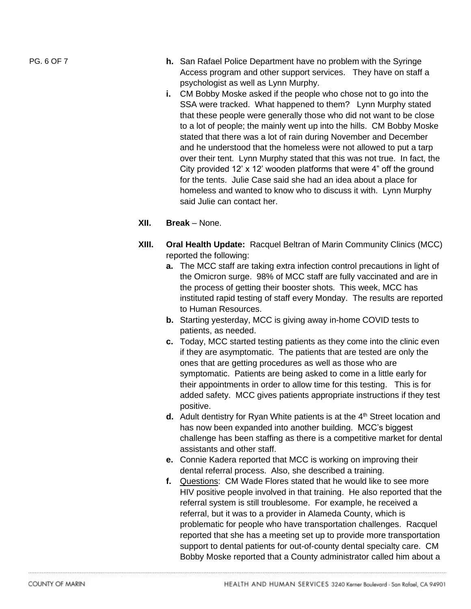- PG. 6 OF 7 **h.** San Rafael Police Department have no problem with the Syringe Access program and other support services. They have on staff a psychologist as well as Lynn Murphy.
	- **i.** CM Bobby Moske asked if the people who chose not to go into the SSA were tracked. What happened to them? Lynn Murphy stated that these people were generally those who did not want to be close to a lot of people; the mainly went up into the hills. CM Bobby Moske stated that there was a lot of rain during November and December and he understood that the homeless were not allowed to put a tarp over their tent. Lynn Murphy stated that this was not true. In fact, the City provided 12' x 12' wooden platforms that were 4" off the ground for the tents. Julie Case said she had an idea about a place for homeless and wanted to know who to discuss it with. Lynn Murphy said Julie can contact her.
	- **XII. Break**  None.
	- **XIII. Oral Health Update:** Racquel Beltran of Marin Community Clinics (MCC) reported the following:
		- **a.** The MCC staff are taking extra infection control precautions in light of the Omicron surge. 98% of MCC staff are fully vaccinated and are in the process of getting their booster shots. This week, MCC has instituted rapid testing of staff every Monday. The results are reported to Human Resources.
		- **b.** Starting yesterday, MCC is giving away in-home COVID tests to patients, as needed.
		- **c.** Today, MCC started testing patients as they come into the clinic even if they are asymptomatic. The patients that are tested are only the ones that are getting procedures as well as those who are symptomatic. Patients are being asked to come in a little early for their appointments in order to allow time for this testing. This is for added safety. MCC gives patients appropriate instructions if they test positive.
		- **d.** Adult dentistry for Ryan White patients is at the  $4<sup>th</sup>$  Street location and has now been expanded into another building. MCC's biggest challenge has been staffing as there is a competitive market for dental assistants and other staff.
		- **e.** Connie Kadera reported that MCC is working on improving their dental referral process. Also, she described a training.
		- **f.** Questions: CM Wade Flores stated that he would like to see more HIV positive people involved in that training. He also reported that the referral system is still troublesome. For example, he received a referral, but it was to a provider in Alameda County, which is problematic for people who have transportation challenges. Racquel reported that she has a meeting set up to provide more transportation support to dental patients for out-of-county dental specialty care. CM Bobby Moske reported that a County administrator called him about a